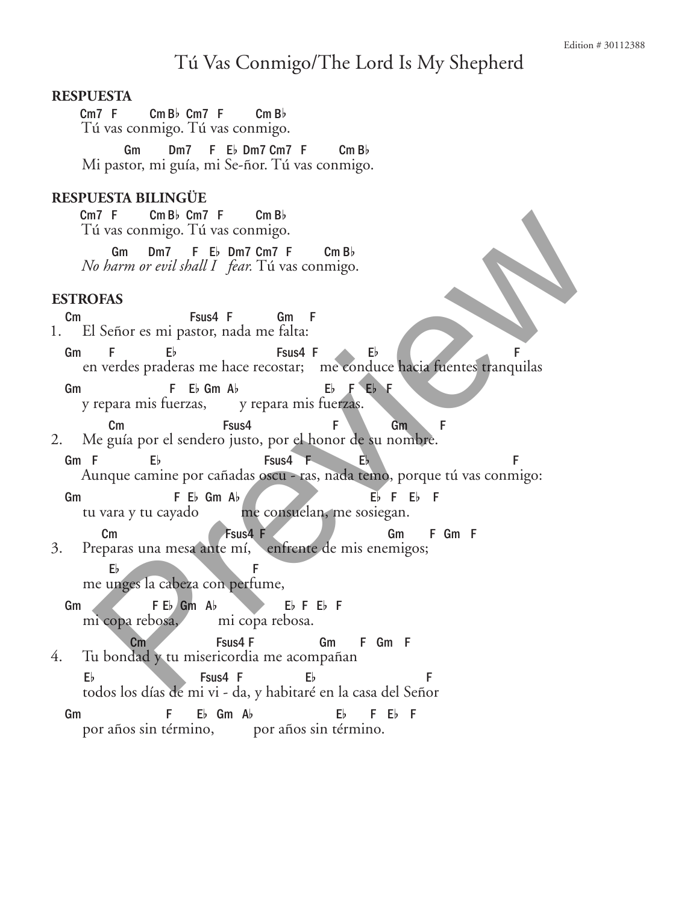# Tú Vas Conmigo/The Lord Is My Shepherd

## **Respuesta**

Cm7 F Cm Bb Cm7 F Cm Bb Tú vas conmigo. Tú vas conmigo.

Gm Dm7 F Eb Dm7 Cm7 F Cm Bb Mi pastor, mi guía, mi Se-ñor. Tú vas conmigo.

# **Respuesta Bilingüe**

Cm7 F CmBb Cm7 F Cm Bb Tú vas conmigo. Tú vas conmigo.

Gm Dm7 F Eb Dm7 Cm7 F Cm Bb *No harm or evil shall I fear.* Tú vas conmigo.

#### **Estrofas**

- Cm Fsus4 F Gm F 1. El Señor es mi pastor, nada me falta:
- Gm F Eb Fsus4 F Eb F F en verdes praderas me hace recostar; me conduce hacia fuentes tranquilas
- Gm F Eb Gm Ab Eb F Eb F<br>y repara mis fuerzas, y repara mis fuerzas. y repara mis fuerzas.
- Cm Fsus4 F Gm F 2. Me guía por el sendero justo, por el honor de su nombre.
- Gm F  $E_b$  Fsus4 F  $E_b$  F Aunque camine por cañadas oscu - ras, nada temo, porque tú vas conmigo: The Contact Preview of the Contact Contact Contact Contact Contact Contact Contact Contact Contact Contact Contact Contact Contact Contact Contact Contact Contact Contact Contact Contact Contact Contact Contact Contact Co
- Gm B F Eb Gm Ab C F Eb F Eb F tu vara y tu cayado me consuelan, me sosiegan.
- Cm Fsus4 F Gm F Gm F 3. Preparas una mesa ante mí, enfrente de mis enemigos;
	- Eb F me unges la cabeza con perfume,
	- Gm  $F E$  Gm  $A$   $E$   $F E$   $F$   $F$   $F$ mi copa rebosa.
- Cm Fsus4 F Gm F Gm F 4. Tu bondad y tu misericordia me acompañan
	- Eb Fsus4 F Eb F todos los días de mi vi - da, y habitaré en la casa del Señor
	- Gm F Eb Gm Ab Eb F Eb F por años sin término, por años sin término.